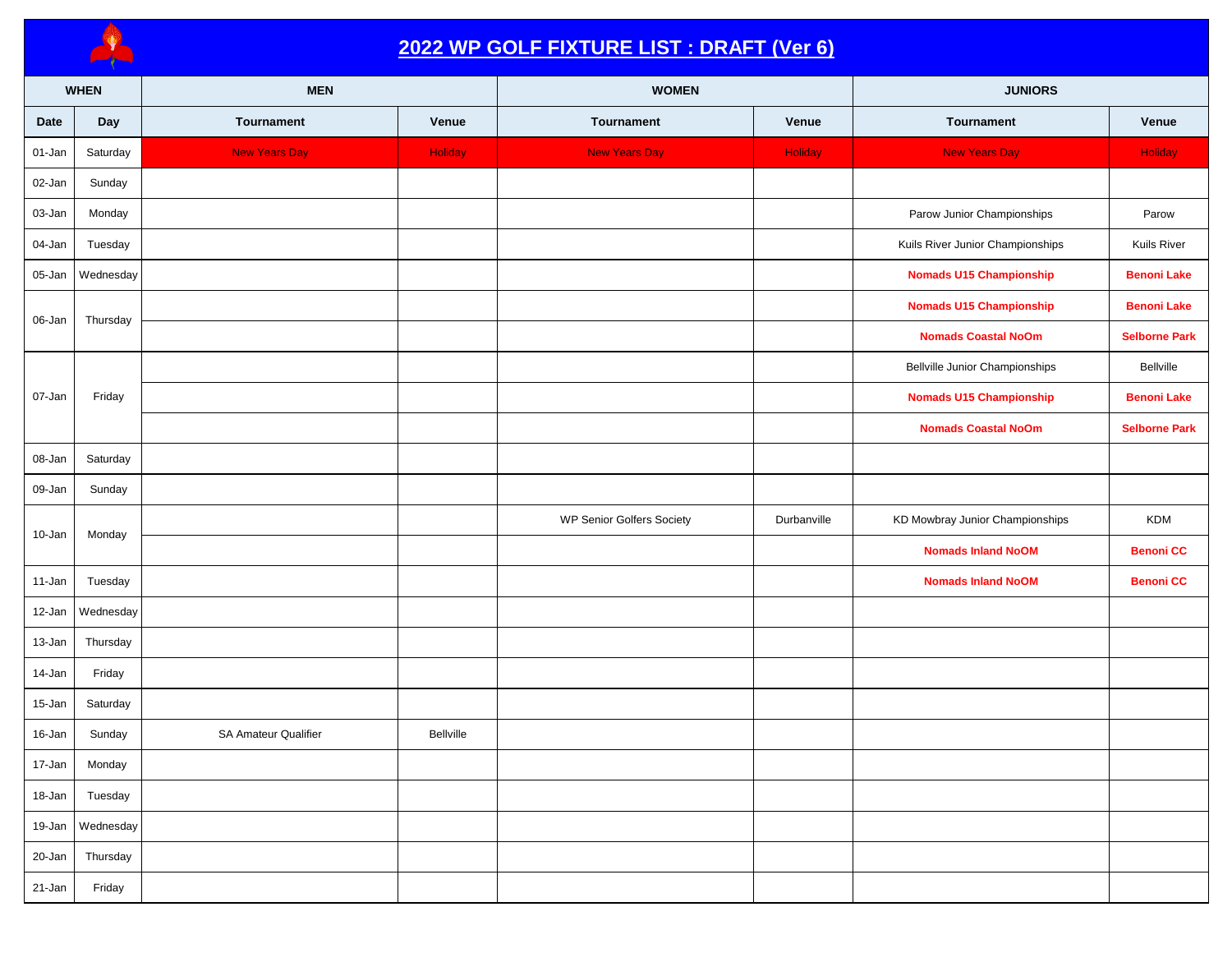

## **2022 WP GOLF FIXTURE LIST : DRAFT (Ver 6)**

|        | <b>WHEN</b> | <b>MEN</b>                  |           | <b>WOMEN</b>              |             | <b>JUNIORS</b>                        |                      |
|--------|-------------|-----------------------------|-----------|---------------------------|-------------|---------------------------------------|----------------------|
| Date   | Day         | Tournament                  | Venue     | Tournament                | Venue       | Tournament                            | Venue                |
| 01-Jan | Saturday    | <b>New Years Day</b>        | Holiday   | <b>New Years Day</b>      | Holiday     | <b>New Years Day</b>                  | <b>Holiday</b>       |
| 02-Jan | Sunday      |                             |           |                           |             |                                       |                      |
| 03-Jan | Monday      |                             |           |                           |             | Parow Junior Championships            | Parow                |
| 04-Jan | Tuesday     |                             |           |                           |             | Kuils River Junior Championships      | Kuils River          |
| 05-Jan | Wednesday   |                             |           |                           |             | <b>Nomads U15 Championship</b>        | <b>Benoni Lake</b>   |
| 06-Jan | Thursday    |                             |           |                           |             | <b>Nomads U15 Championship</b>        | <b>Benoni Lake</b>   |
|        |             |                             |           |                           |             | <b>Nomads Coastal NoOm</b>            | <b>Selborne Park</b> |
|        |             |                             |           |                           |             | <b>Bellville Junior Championships</b> | Bellville            |
| 07-Jan | Friday      |                             |           |                           |             | <b>Nomads U15 Championship</b>        | <b>Benoni Lake</b>   |
|        |             |                             |           |                           |             | <b>Nomads Coastal NoOm</b>            | <b>Selborne Park</b> |
| 08-Jan | Saturday    |                             |           |                           |             |                                       |                      |
| 09-Jan | Sunday      |                             |           |                           |             |                                       |                      |
| 10-Jan | Monday      |                             |           | WP Senior Golfers Society | Durbanville | KD Mowbray Junior Championships       | <b>KDM</b>           |
|        |             |                             |           |                           |             | <b>Nomads Inland NoOM</b>             | <b>Benoni CC</b>     |
| 11-Jan | Tuesday     |                             |           |                           |             | <b>Nomads Inland NoOM</b>             | <b>Benoni CC</b>     |
| 12-Jan | Wednesday   |                             |           |                           |             |                                       |                      |
| 13-Jan | Thursday    |                             |           |                           |             |                                       |                      |
| 14-Jan | Friday      |                             |           |                           |             |                                       |                      |
| 15-Jan | Saturday    |                             |           |                           |             |                                       |                      |
| 16-Jan | Sunday      | <b>SA Amateur Qualifier</b> | Bellville |                           |             |                                       |                      |
| 17-Jan | Monday      |                             |           |                           |             |                                       |                      |
| 18-Jan | Tuesday     |                             |           |                           |             |                                       |                      |
| 19-Jan | Wednesday   |                             |           |                           |             |                                       |                      |
| 20-Jan | Thursday    |                             |           |                           |             |                                       |                      |
| 21-Jan | Friday      |                             |           |                           |             |                                       |                      |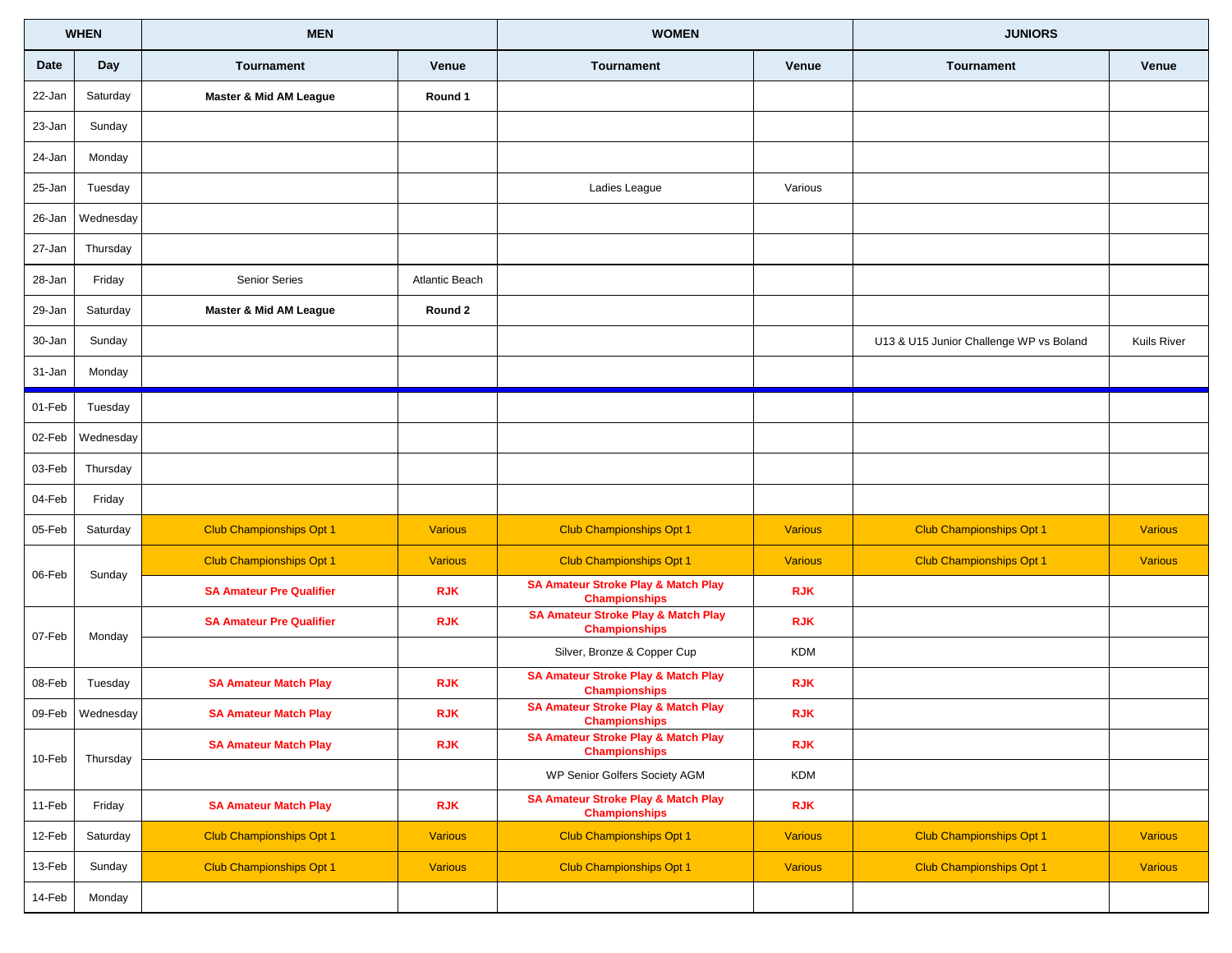|           | <b>WHEN</b>      | <b>MEN</b>                        |                | <b>WOMEN</b>                                                           |                | <b>JUNIORS</b>                          |                    |
|-----------|------------------|-----------------------------------|----------------|------------------------------------------------------------------------|----------------|-----------------------------------------|--------------------|
| Date      | Day              | <b>Tournament</b>                 | Venue          | <b>Tournament</b>                                                      | Venue          | Tournament                              | Venue              |
| 22-Jan    | Saturday         | <b>Master &amp; Mid AM League</b> | Round 1        |                                                                        |                |                                         |                    |
| 23-Jan    | Sunday           |                                   |                |                                                                        |                |                                         |                    |
| 24-Jan    | Monday           |                                   |                |                                                                        |                |                                         |                    |
| 25-Jan    | Tuesday          |                                   |                | Ladies League                                                          | Various        |                                         |                    |
| 26-Jan    | Wednesday        |                                   |                |                                                                        |                |                                         |                    |
| 27-Jan    | Thursday         |                                   |                |                                                                        |                |                                         |                    |
| 28-Jan    | Friday           | Senior Series                     | Atlantic Beach |                                                                        |                |                                         |                    |
| 29-Jan    | Saturday         | <b>Master &amp; Mid AM League</b> | Round 2        |                                                                        |                |                                         |                    |
| 30-Jan    | Sunday           |                                   |                |                                                                        |                | U13 & U15 Junior Challenge WP vs Boland | <b>Kuils River</b> |
| 31-Jan    | Monday           |                                   |                |                                                                        |                |                                         |                    |
| 01-Feb    | Tuesday          |                                   |                |                                                                        |                |                                         |                    |
| 02-Feb    | Wednesday        |                                   |                |                                                                        |                |                                         |                    |
| 03-Feb    | Thursday         |                                   |                |                                                                        |                |                                         |                    |
| 04-Feb    | Friday           |                                   |                |                                                                        |                |                                         |                    |
| 05-Feb    | Saturday         | <b>Club Championships Opt 1</b>   | <b>Various</b> | <b>Club Championships Opt 1</b>                                        | <b>Various</b> | <b>Club Championships Opt 1</b>         | <b>Various</b>     |
| 06-Feb    | Sunday           | <b>Club Championships Opt 1</b>   | <b>Various</b> | <b>Club Championships Opt 1</b>                                        | <b>Various</b> | <b>Club Championships Opt 1</b>         | <b>Various</b>     |
|           |                  | <b>SA Amateur Pre Qualifier</b>   | <b>RJK</b>     | <b>SA Amateur Stroke Play &amp; Match Play</b><br><b>Championships</b> | <b>RJK</b>     |                                         |                    |
| 07-Feb    | Monday           | <b>SA Amateur Pre Qualifier</b>   | <b>RJK</b>     | <b>SA Amateur Stroke Play &amp; Match Play</b><br><b>Championships</b> | <b>RJK</b>     |                                         |                    |
|           |                  |                                   |                | Silver, Bronze & Copper Cup                                            | <b>KDM</b>     |                                         |                    |
| 08-Feb    | Tuesday          | <b>SA Amateur Match Play</b>      | <b>RJK</b>     | <b>SA Amateur Stroke Play &amp; Match Play</b><br><b>Championships</b> | <b>RJK</b>     |                                         |                    |
|           | 09-Feb Wednesday | <b>SA Amateur Match Play</b>      | <b>RJK</b>     | <b>SA Amateur Stroke Play &amp; Match Play</b><br><b>Championships</b> | <b>RJK</b>     |                                         |                    |
| 10-Feb    | Thursday         | <b>SA Amateur Match Play</b>      | <b>RJK</b>     | <b>SA Amateur Stroke Play &amp; Match Play</b><br><b>Championships</b> | <b>RJK</b>     |                                         |                    |
|           |                  |                                   |                | WP Senior Golfers Society AGM                                          | KDM            |                                         |                    |
| 11-Feb    | Friday           | <b>SA Amateur Match Play</b>      | <b>RJK</b>     | <b>SA Amateur Stroke Play &amp; Match Play</b><br><b>Championships</b> | <b>RJK</b>     |                                         |                    |
| 12-Feb    | Saturday         | <b>Club Championships Opt 1</b>   | <b>Various</b> | <b>Club Championships Opt 1</b>                                        | <b>Various</b> | Club Championships Opt 1                | <b>Various</b>     |
| 13-Feb    | Sunday           | <b>Club Championships Opt 1</b>   | <b>Various</b> | <b>Club Championships Opt 1</b>                                        | <b>Various</b> | <b>Club Championships Opt 1</b>         | <b>Various</b>     |
| $14$ -Feb | Monday           |                                   |                |                                                                        |                |                                         |                    |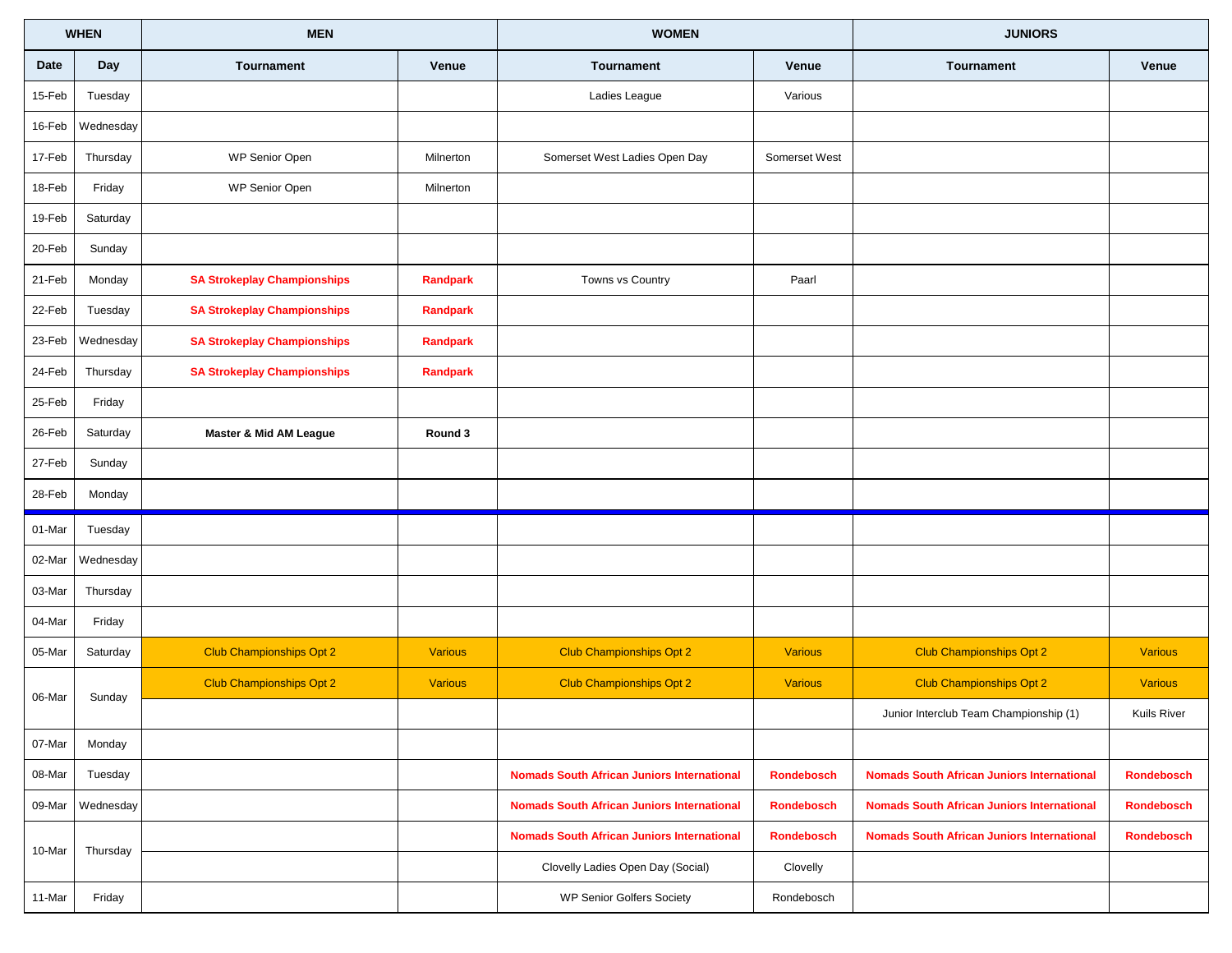|             | <b>WHEN</b> | <b>MEN</b>                         |                 | <b>WOMEN</b>                                      |                   | <b>JUNIORS</b>                                    |                    |
|-------------|-------------|------------------------------------|-----------------|---------------------------------------------------|-------------------|---------------------------------------------------|--------------------|
| <b>Date</b> | Day         | Tournament                         | Venue           | Tournament                                        | Venue             | <b>Tournament</b>                                 | Venue              |
| 15-Feb      | Tuesday     |                                    |                 | Ladies League                                     | Various           |                                                   |                    |
| 16-Feb      | Wednesday   |                                    |                 |                                                   |                   |                                                   |                    |
| 17-Feb      | Thursday    | WP Senior Open                     | Milnerton       | Somerset West Ladies Open Day                     | Somerset West     |                                                   |                    |
| 18-Feb      | Friday      | WP Senior Open                     | Milnerton       |                                                   |                   |                                                   |                    |
| 19-Feb      | Saturday    |                                    |                 |                                                   |                   |                                                   |                    |
| 20-Feb      | Sunday      |                                    |                 |                                                   |                   |                                                   |                    |
| 21-Feb      | Monday      | <b>SA Strokeplay Championships</b> | Randpark        | Towns vs Country                                  | Paarl             |                                                   |                    |
| 22-Feb      | Tuesday     | <b>SA Strokeplay Championships</b> | <b>Randpark</b> |                                                   |                   |                                                   |                    |
| 23-Feb      | Wednesday   | <b>SA Strokeplay Championships</b> | Randpark        |                                                   |                   |                                                   |                    |
| 24-Feb      | Thursday    | <b>SA Strokeplay Championships</b> | Randpark        |                                                   |                   |                                                   |                    |
| 25-Feb      | Friday      |                                    |                 |                                                   |                   |                                                   |                    |
| 26-Feb      | Saturday    | <b>Master &amp; Mid AM League</b>  | Round 3         |                                                   |                   |                                                   |                    |
| 27-Feb      | Sunday      |                                    |                 |                                                   |                   |                                                   |                    |
| 28-Feb      | Monday      |                                    |                 |                                                   |                   |                                                   |                    |
| 01-Mar      | Tuesday     |                                    |                 |                                                   |                   |                                                   |                    |
| 02-Mar      | Wednesday   |                                    |                 |                                                   |                   |                                                   |                    |
| 03-Mar      | Thursday    |                                    |                 |                                                   |                   |                                                   |                    |
| 04-Mar      | Friday      |                                    |                 |                                                   |                   |                                                   |                    |
| 05-Mar      | Saturday    | <b>Club Championships Opt 2</b>    | <b>Various</b>  | <b>Club Championships Opt 2</b>                   | <b>Various</b>    | <b>Club Championships Opt 2</b>                   | <b>Various</b>     |
|             |             | <b>Club Championships Opt 2</b>    | <b>Various</b>  | <b>Club Championships Opt 2</b>                   | <b>Various</b>    | <b>Club Championships Opt 2</b>                   | <b>Various</b>     |
| 06-Mar      | Sunday      |                                    |                 |                                                   |                   | Junior Interclub Team Championship (1)            | <b>Kuils River</b> |
| 07-Mar      | Monday      |                                    |                 |                                                   |                   |                                                   |                    |
| 08-Mar      | Tuesday     |                                    |                 | <b>Nomads South African Juniors International</b> | <b>Rondebosch</b> | <b>Nomads South African Juniors International</b> | <b>Rondebosch</b>  |
| 09-Mar      | Wednesday   |                                    |                 | <b>Nomads South African Juniors International</b> | <b>Rondebosch</b> | <b>Nomads South African Juniors International</b> | <b>Rondebosch</b>  |
|             |             |                                    |                 | <b>Nomads South African Juniors International</b> | <b>Rondebosch</b> | <b>Nomads South African Juniors International</b> | <b>Rondebosch</b>  |
| 10-Mar      | Thursday    |                                    |                 | Clovelly Ladies Open Day (Social)                 | Clovelly          |                                                   |                    |
| 11-Mar      | Friday      |                                    |                 | <b>WP Senior Golfers Society</b>                  | Rondebosch        |                                                   |                    |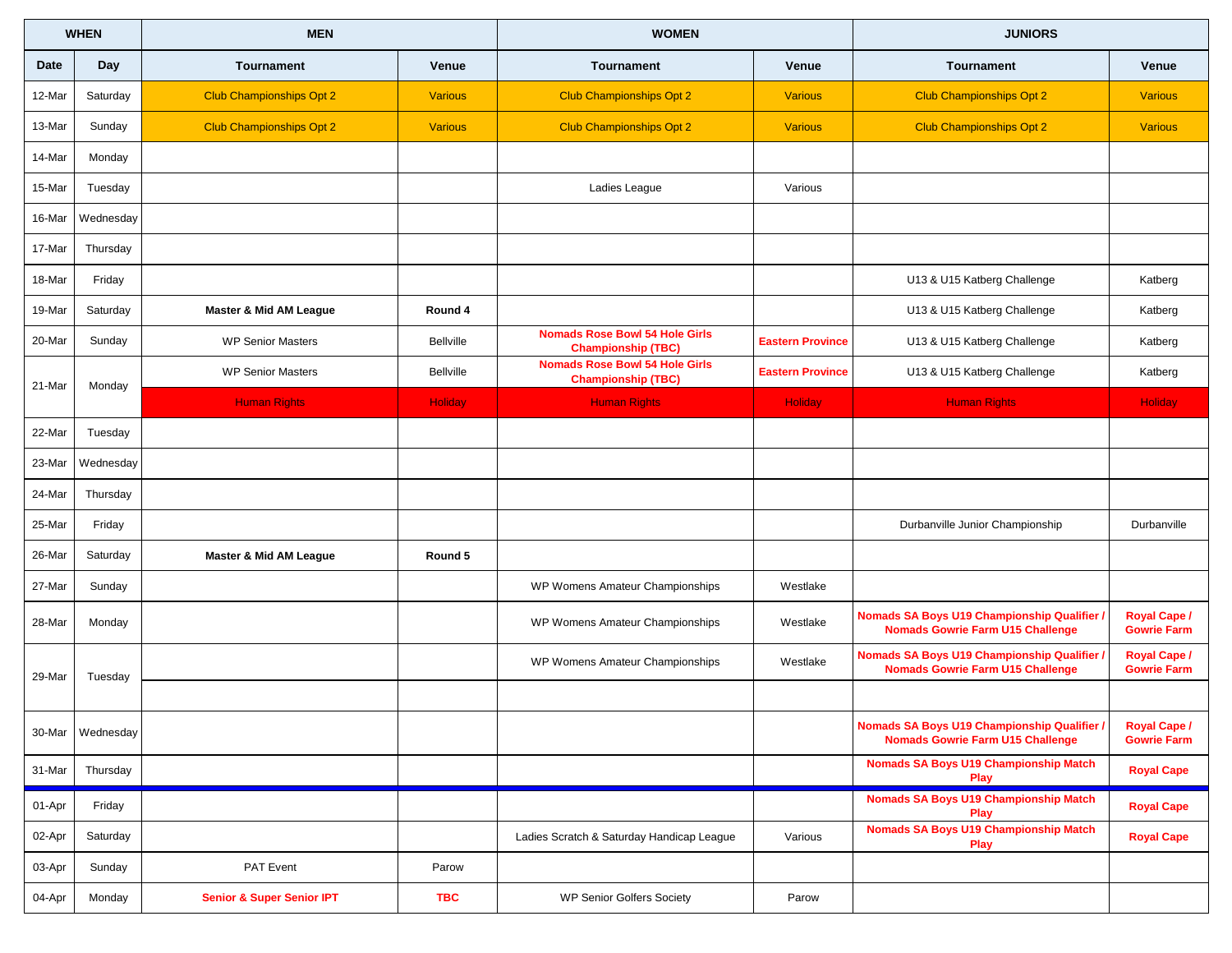|             | <b>WHEN</b>      | <b>MEN</b>                           |                  | <b>WOMEN</b>                                                       |                         | <b>JUNIORS</b>                                                                         |                                           |
|-------------|------------------|--------------------------------------|------------------|--------------------------------------------------------------------|-------------------------|----------------------------------------------------------------------------------------|-------------------------------------------|
| <b>Date</b> | <b>Day</b>       | <b>Tournament</b>                    | Venue            | Tournament                                                         | Venue                   | <b>Tournament</b>                                                                      | Venue                                     |
| 12-Mar      | Saturday         | <b>Club Championships Opt 2</b>      | <b>Various</b>   | <b>Club Championships Opt 2</b>                                    | <b>Various</b>          | <b>Club Championships Opt 2</b>                                                        | <b>Various</b>                            |
| 13-Mar      | Sunday           | <b>Club Championships Opt 2</b>      | <b>Various</b>   | <b>Club Championships Opt 2</b>                                    | <b>Various</b>          | <b>Club Championships Opt 2</b>                                                        | <b>Various</b>                            |
| 14-Mar      | Monday           |                                      |                  |                                                                    |                         |                                                                                        |                                           |
| 15-Mar      | Tuesday          |                                      |                  | Ladies League                                                      | Various                 |                                                                                        |                                           |
| 16-Mar      | Wednesday        |                                      |                  |                                                                    |                         |                                                                                        |                                           |
| 17-Mar      | Thursday         |                                      |                  |                                                                    |                         |                                                                                        |                                           |
| 18-Mar      | Friday           |                                      |                  |                                                                    |                         | U13 & U15 Katberg Challenge                                                            | Katberg                                   |
| 19-Mar      | Saturday         | <b>Master &amp; Mid AM League</b>    | Round 4          |                                                                    |                         | U13 & U15 Katberg Challenge                                                            | Katberg                                   |
| 20-Mar      | Sunday           | <b>WP Senior Masters</b>             | <b>Bellville</b> | <b>Nomads Rose Bowl 54 Hole Girls</b><br><b>Championship (TBC)</b> | <b>Eastern Province</b> | U13 & U15 Katberg Challenge                                                            | Katberg                                   |
| 21-Mar      | Monday           | <b>WP Senior Masters</b>             | <b>Bellville</b> | <b>Nomads Rose Bowl 54 Hole Girls</b><br><b>Championship (TBC)</b> | <b>Eastern Province</b> | U13 & U15 Katberg Challenge                                                            | Katberg                                   |
|             |                  | <b>Human Rights</b>                  | <b>Holiday</b>   | <b>Human Rights</b>                                                | <b>Holiday</b>          | <b>Human Rights</b>                                                                    | <b>Holiday</b>                            |
| 22-Mar      | Tuesday          |                                      |                  |                                                                    |                         |                                                                                        |                                           |
| 23-Mar      | Wednesday        |                                      |                  |                                                                    |                         |                                                                                        |                                           |
| 24-Mar      | Thursday         |                                      |                  |                                                                    |                         |                                                                                        |                                           |
| 25-Mar      | Friday           |                                      |                  |                                                                    |                         | Durbanville Junior Championship                                                        | Durbanville                               |
| 26-Mar      | Saturday         | <b>Master &amp; Mid AM League</b>    | Round 5          |                                                                    |                         |                                                                                        |                                           |
| 27-Mar      | Sunday           |                                      |                  | WP Womens Amateur Championships                                    | Westlake                |                                                                                        |                                           |
| 28-Mar      | Monday           |                                      |                  | WP Womens Amateur Championships                                    | Westlake                | Nomads SA Boys U19 Championship Qualifier /<br><b>Nomads Gowrie Farm U15 Challenge</b> | <b>Royal Cape /</b><br><b>Gowrie Farm</b> |
| 29-Mar      | Tuesday          |                                      |                  | WP Womens Amateur Championships                                    | Westlake                | Nomads SA Boys U19 Championship Qualifier /<br><b>Nomads Gowrie Farm U15 Challenge</b> | <b>Royal Cape /</b><br><b>Gowrie Farm</b> |
|             |                  |                                      |                  |                                                                    |                         |                                                                                        |                                           |
|             | 30-Mar Wednesday |                                      |                  |                                                                    |                         | Nomads SA Boys U19 Championship Qualifier /<br><b>Nomads Gowrie Farm U15 Challenge</b> | Royal Cape /<br><b>Gowrie Farm</b>        |
| 31-Mar      | Thursday         |                                      |                  |                                                                    |                         | <b>Nomads SA Boys U19 Championship Match</b><br>Play                                   | <b>Royal Cape</b>                         |
| 01-Apr      | Friday           |                                      |                  |                                                                    |                         | <b>Nomads SA Boys U19 Championship Match</b><br>Play                                   | <b>Royal Cape</b>                         |
| 02-Apr      | Saturday         |                                      |                  | Ladies Scratch & Saturday Handicap League                          | Various                 | <b>Nomads SA Boys U19 Championship Match</b><br>Play                                   | <b>Royal Cape</b>                         |
| 03-Apr      | Sunday           | PAT Event                            | Parow            |                                                                    |                         |                                                                                        |                                           |
| 04-Apr      | Monday           | <b>Senior &amp; Super Senior IPT</b> | <b>TBC</b>       | <b>WP Senior Golfers Society</b>                                   | Parow                   |                                                                                        |                                           |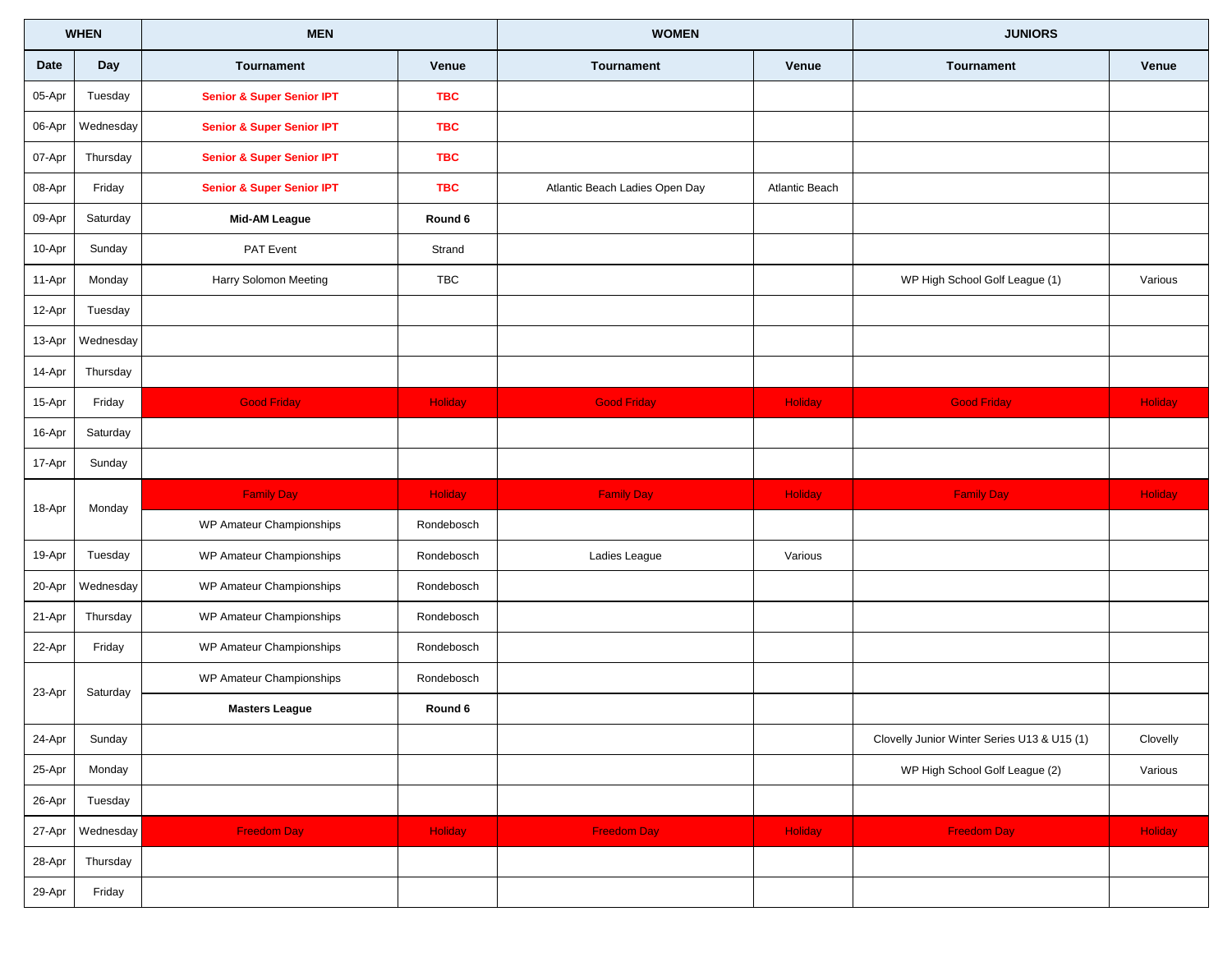|        | <b>WHEN</b> | <b>MEN</b>                           |                | <b>WOMEN</b>                   |                       | <b>JUNIORS</b>                              |          |
|--------|-------------|--------------------------------------|----------------|--------------------------------|-----------------------|---------------------------------------------|----------|
| Date   | Day         | Tournament                           | Venue          | <b>Tournament</b>              | Venue                 | <b>Tournament</b>                           | Venue    |
| 05-Apr | Tuesday     | <b>Senior &amp; Super Senior IPT</b> | <b>TBC</b>     |                                |                       |                                             |          |
| 06-Apr | Wednesday   | <b>Senior &amp; Super Senior IPT</b> | <b>TBC</b>     |                                |                       |                                             |          |
| 07-Apr | Thursday    | <b>Senior &amp; Super Senior IPT</b> | <b>TBC</b>     |                                |                       |                                             |          |
| 08-Apr | Friday      | <b>Senior &amp; Super Senior IPT</b> | <b>TBC</b>     | Atlantic Beach Ladies Open Day | <b>Atlantic Beach</b> |                                             |          |
| 09-Apr | Saturday    | <b>Mid-AM League</b>                 | Round 6        |                                |                       |                                             |          |
| 10-Apr | Sunday      | PAT Event                            | Strand         |                                |                       |                                             |          |
| 11-Apr | Monday      | Harry Solomon Meeting                | <b>TBC</b>     |                                |                       | WP High School Golf League (1)              | Various  |
| 12-Apr | Tuesday     |                                      |                |                                |                       |                                             |          |
| 13-Apr | Wednesday   |                                      |                |                                |                       |                                             |          |
| 14-Apr | Thursday    |                                      |                |                                |                       |                                             |          |
| 15-Apr | Friday      | <b>Good Friday</b>                   | Holiday        | <b>Good Friday</b>             | Holiday               | <b>Good Friday</b>                          | Holiday  |
| 16-Apr | Saturday    |                                      |                |                                |                       |                                             |          |
| 17-Apr | Sunday      |                                      |                |                                |                       |                                             |          |
| 18-Apr | Monday      | <b>Family Day</b>                    | <b>Holiday</b> | <b>Family Day</b>              | <b>Holiday</b>        | <b>Family Day</b>                           | Holiday  |
|        |             | WP Amateur Championships             | Rondebosch     |                                |                       |                                             |          |
| 19-Apr | Tuesday     | WP Amateur Championships             | Rondebosch     | Ladies League                  | Various               |                                             |          |
| 20-Apr | Wednesday   | WP Amateur Championships             | Rondebosch     |                                |                       |                                             |          |
| 21-Apr | Thursday    | WP Amateur Championships             | Rondebosch     |                                |                       |                                             |          |
| 22-Apr | Friday      | WP Amateur Championships             | Rondebosch     |                                |                       |                                             |          |
| 23-Apr | Saturday    | WP Amateur Championships             | Rondebosch     |                                |                       |                                             |          |
|        |             | <b>Masters League</b>                | Round 6        |                                |                       |                                             |          |
| 24-Apr | Sunday      |                                      |                |                                |                       | Clovelly Junior Winter Series U13 & U15 (1) | Clovelly |
| 25-Apr | Monday      |                                      |                |                                |                       | WP High School Golf League (2)              | Various  |
| 26-Apr | Tuesday     |                                      |                |                                |                       |                                             |          |
| 27-Apr | Wednesday   | <b>Freedom Day</b>                   | Holiday        | <b>Freedom Day</b>             | Holiday               | <b>Freedom Day</b>                          | Holiday  |
| 28-Apr | Thursday    |                                      |                |                                |                       |                                             |          |
| 29-Apr | Friday      |                                      |                |                                |                       |                                             |          |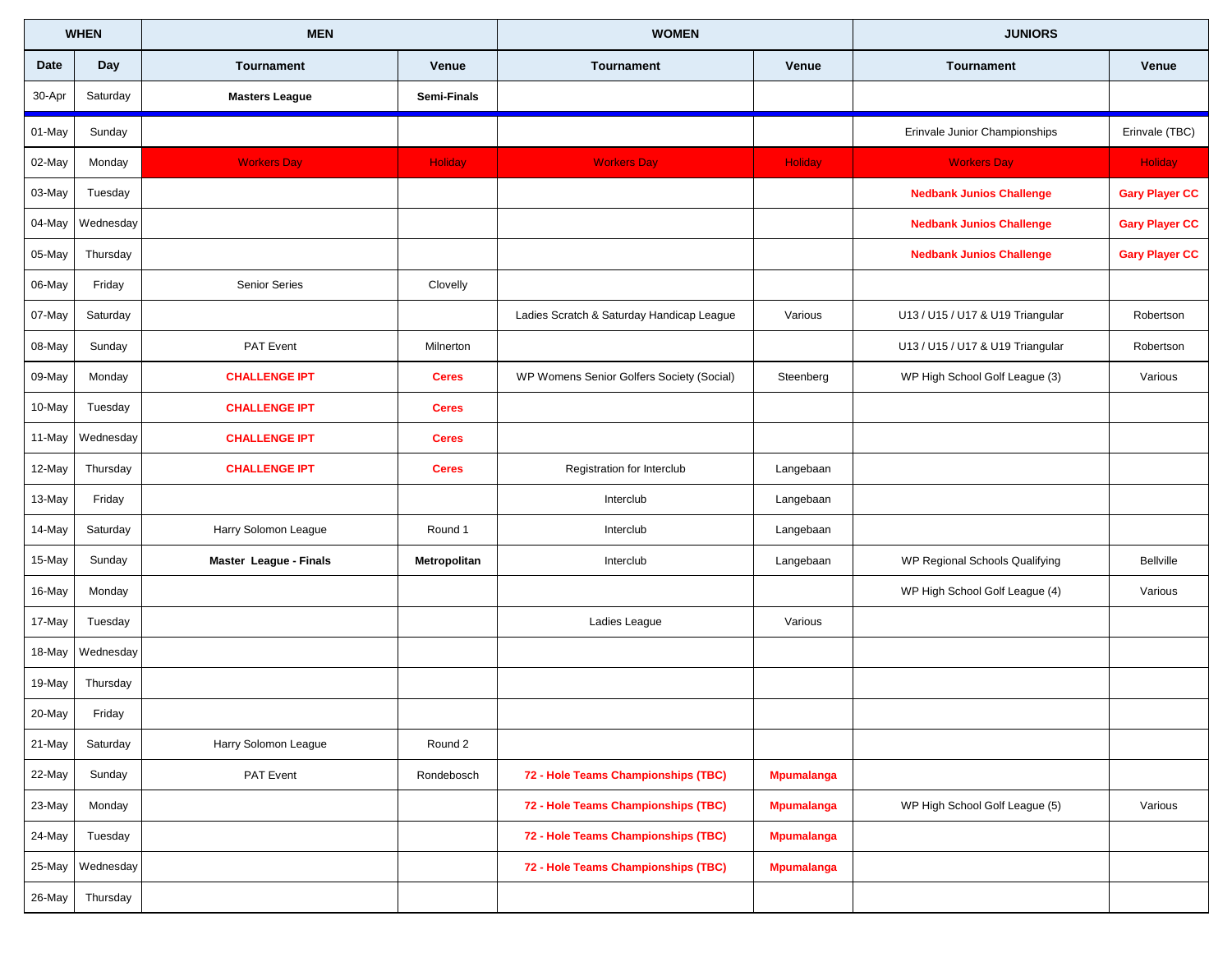| <b>WHEN</b> |           | <b>MEN</b>             |                | <b>WOMEN</b>                              |                   | <b>JUNIORS</b>                   |                       |
|-------------|-----------|------------------------|----------------|-------------------------------------------|-------------------|----------------------------------|-----------------------|
| Date        | Day       | Tournament             | Venue          | Tournament                                | Venue             | <b>Tournament</b>                | Venue                 |
| 30-Apr      | Saturday  | <b>Masters League</b>  | Semi-Finals    |                                           |                   |                                  |                       |
| 01-May      | Sunday    |                        |                |                                           |                   | Erinvale Junior Championships    | Erinvale (TBC)        |
| 02-May      | Monday    | <b>Workers Day</b>     | <b>Holiday</b> | <b>Workers Day</b>                        | Holiday           | <b>Workers Day</b>               | <b>Holiday</b>        |
| 03-May      | Tuesday   |                        |                |                                           |                   | <b>Nedbank Junios Challenge</b>  | <b>Gary Player CC</b> |
| 04-May      | Wednesday |                        |                |                                           |                   | <b>Nedbank Junios Challenge</b>  | <b>Gary Player CC</b> |
| 05-May      | Thursday  |                        |                |                                           |                   | <b>Nedbank Junios Challenge</b>  | <b>Gary Player CC</b> |
| 06-May      | Friday    | <b>Senior Series</b>   | Clovelly       |                                           |                   |                                  |                       |
| 07-May      | Saturday  |                        |                | Ladies Scratch & Saturday Handicap League | Various           | U13 / U15 / U17 & U19 Triangular | Robertson             |
| 08-May      | Sunday    | <b>PAT Event</b>       | Milnerton      |                                           |                   | U13 / U15 / U17 & U19 Triangular | Robertson             |
| 09-May      | Monday    | <b>CHALLENGE IPT</b>   | <b>Ceres</b>   | WP Womens Senior Golfers Society (Social) | Steenberg         | WP High School Golf League (3)   | Various               |
| 10-May      | Tuesday   | <b>CHALLENGE IPT</b>   | <b>Ceres</b>   |                                           |                   |                                  |                       |
| 11-May      | Wednesday | <b>CHALLENGE IPT</b>   | <b>Ceres</b>   |                                           |                   |                                  |                       |
| 12-May      | Thursday  | <b>CHALLENGE IPT</b>   | <b>Ceres</b>   | Registration for Interclub                | Langebaan         |                                  |                       |
| 13-May      | Friday    |                        |                | Interclub                                 | Langebaan         |                                  |                       |
| 14-May      | Saturday  | Harry Solomon League   | Round 1        | Interclub                                 | Langebaan         |                                  |                       |
| 15-May      | Sunday    | Master League - Finals | Metropolitan   | Interclub                                 | Langebaan         | WP Regional Schools Qualifying   | Bellville             |
| 16-May      | Monday    |                        |                |                                           |                   | WP High School Golf League (4)   | Various               |
| 17-May      | Tuesday   |                        |                | Ladies League                             | Various           |                                  |                       |
| 18-May      | Wednesday |                        |                |                                           |                   |                                  |                       |
| 19-May      | Thursday  |                        |                |                                           |                   |                                  |                       |
| 20-May      | Friday    |                        |                |                                           |                   |                                  |                       |
| 21-May      | Saturday  | Harry Solomon League   | Round 2        |                                           |                   |                                  |                       |
| 22-May      | Sunday    | PAT Event              | Rondebosch     | 72 - Hole Teams Championships (TBC)       | <b>Mpumalanga</b> |                                  |                       |
| 23-May      | Monday    |                        |                | 72 - Hole Teams Championships (TBC)       | <b>Mpumalanga</b> | WP High School Golf League (5)   | Various               |
| 24-May      | Tuesday   |                        |                | 72 - Hole Teams Championships (TBC)       | <b>Mpumalanga</b> |                                  |                       |
| 25-May      | Wednesday |                        |                | 72 - Hole Teams Championships (TBC)       | <b>Mpumalanga</b> |                                  |                       |
| 26-May      | Thursday  |                        |                |                                           |                   |                                  |                       |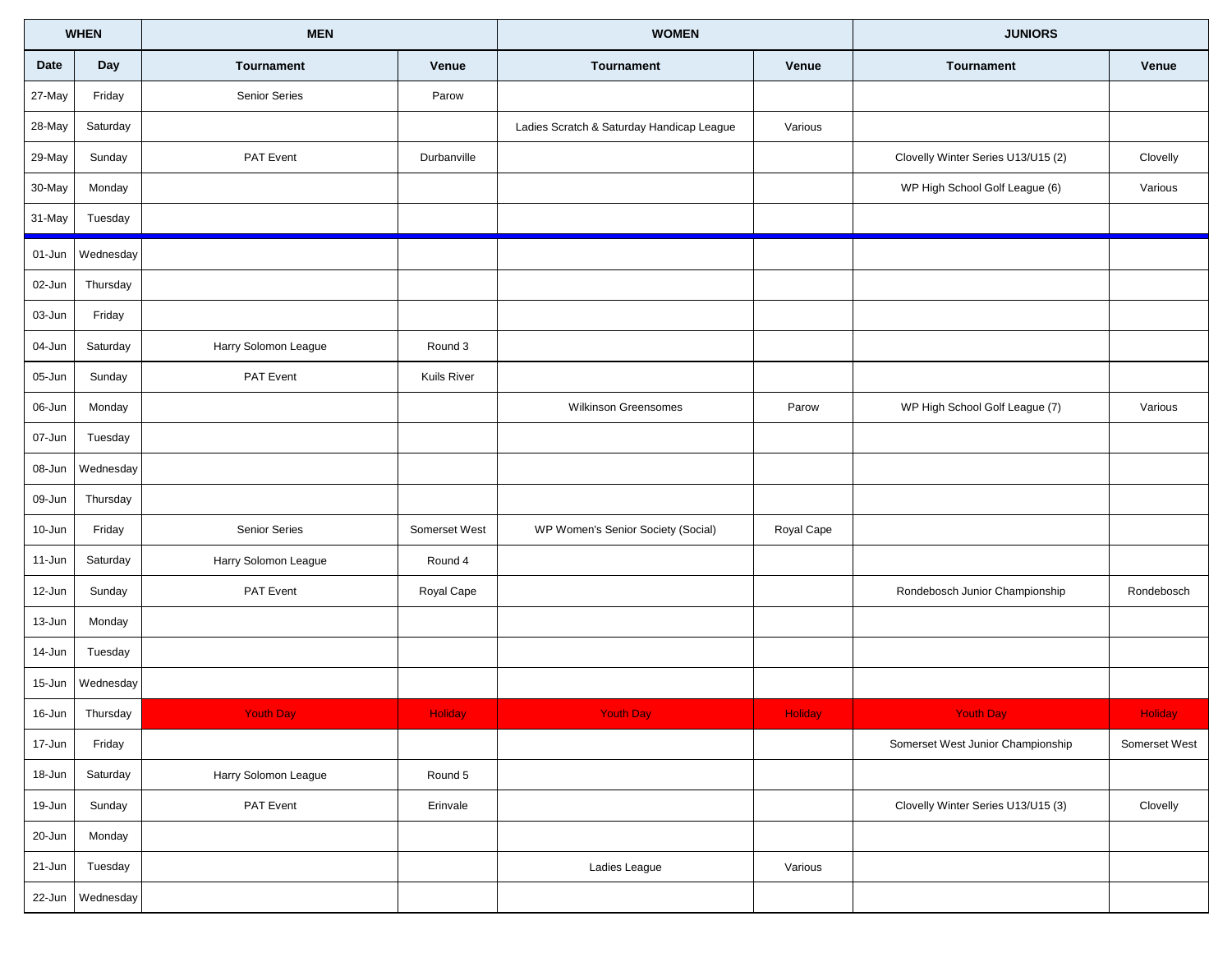| <b>WHEN</b> |           | <b>MEN</b>           |                    | <b>WOMEN</b>                              |                | <b>JUNIORS</b>                     |                |
|-------------|-----------|----------------------|--------------------|-------------------------------------------|----------------|------------------------------------|----------------|
| Date        | Day       | Tournament           | Venue              | Tournament                                | Venue          | <b>Tournament</b>                  | Venue          |
| 27-May      | Friday    | <b>Senior Series</b> | Parow              |                                           |                |                                    |                |
| 28-May      | Saturday  |                      |                    | Ladies Scratch & Saturday Handicap League | Various        |                                    |                |
| 29-May      | Sunday    | PAT Event            | Durbanville        |                                           |                | Clovelly Winter Series U13/U15 (2) | Clovelly       |
| 30-May      | Monday    |                      |                    |                                           |                | WP High School Golf League (6)     | Various        |
| 31-May      | Tuesday   |                      |                    |                                           |                |                                    |                |
| 01-Jun      | Wednesday |                      |                    |                                           |                |                                    |                |
| 02-Jun      | Thursday  |                      |                    |                                           |                |                                    |                |
| 03-Jun      | Friday    |                      |                    |                                           |                |                                    |                |
| 04-Jun      | Saturday  | Harry Solomon League | Round 3            |                                           |                |                                    |                |
| 05-Jun      | Sunday    | PAT Event            | <b>Kuils River</b> |                                           |                |                                    |                |
| 06-Jun      | Monday    |                      |                    | <b>Wilkinson Greensomes</b>               | Parow          | WP High School Golf League (7)     | Various        |
| 07-Jun      | Tuesday   |                      |                    |                                           |                |                                    |                |
| 08-Jun      | Wednesday |                      |                    |                                           |                |                                    |                |
| 09-Jun      | Thursday  |                      |                    |                                           |                |                                    |                |
| 10-Jun      | Friday    | <b>Senior Series</b> | Somerset West      | WP Women's Senior Society (Social)        | Royal Cape     |                                    |                |
| 11-Jun      | Saturday  | Harry Solomon League | Round 4            |                                           |                |                                    |                |
| 12-Jun      | Sunday    | PAT Event            | Royal Cape         |                                           |                | Rondebosch Junior Championship     | Rondebosch     |
| 13-Jun      | Monday    |                      |                    |                                           |                |                                    |                |
| 14-Jun      | Tuesday   |                      |                    |                                           |                |                                    |                |
| 15-Jun      | Wednesday |                      |                    |                                           |                |                                    |                |
| 16-Jun      | Thursday  | <b>Youth Day</b>     | <b>Holiday</b>     | <b>Youth Day</b>                          | <b>Holiday</b> | <b>Youth Day</b>                   | <b>Holiday</b> |
| 17-Jun      | Friday    |                      |                    |                                           |                | Somerset West Junior Championship  | Somerset West  |
| 18-Jun      | Saturday  | Harry Solomon League | Round 5            |                                           |                |                                    |                |
| 19-Jun      | Sunday    | PAT Event            | Erinvale           |                                           |                | Clovelly Winter Series U13/U15 (3) | Clovelly       |
| 20-Jun      | Monday    |                      |                    |                                           |                |                                    |                |
| $21 - Jun$  | Tuesday   |                      |                    | Ladies League                             | Various        |                                    |                |
| 22-Jun      | Wednesday |                      |                    |                                           |                |                                    |                |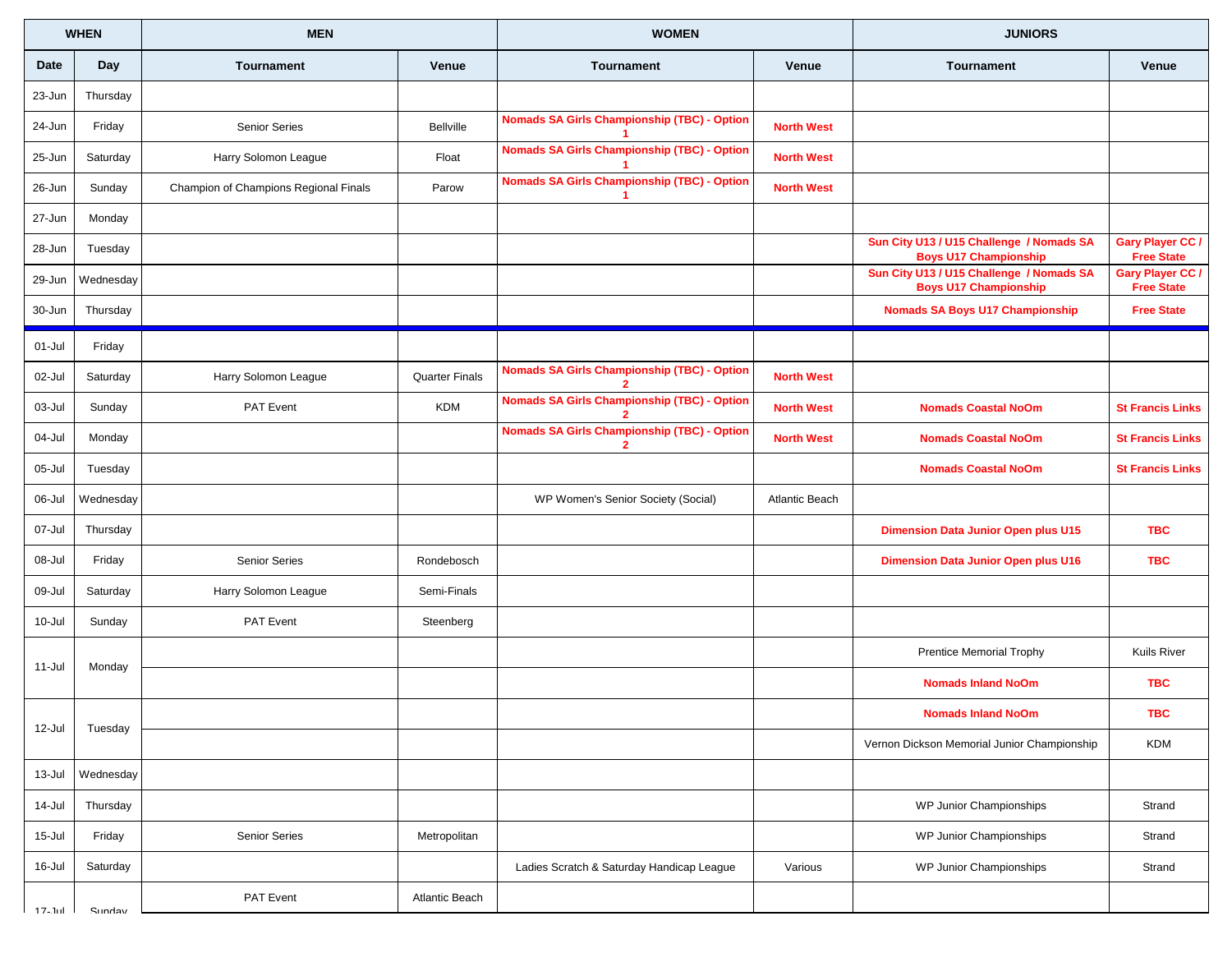|             | <b>WHEN</b> | <b>MEN</b>                            |                       | <b>WOMEN</b>                                                         |                       | <b>JUNIORS</b>                                                           |                                              |
|-------------|-------------|---------------------------------------|-----------------------|----------------------------------------------------------------------|-----------------------|--------------------------------------------------------------------------|----------------------------------------------|
| <b>Date</b> | Day         | <b>Tournament</b>                     | Venue                 | Tournament                                                           | <b>Venue</b>          | <b>Tournament</b>                                                        | Venue                                        |
| 23-Jun      | Thursday    |                                       |                       |                                                                      |                       |                                                                          |                                              |
| 24-Jun      | Friday      | <b>Senior Series</b>                  | <b>Bellville</b>      | <b>Nomads SA Girls Championship (TBC) - Option</b>                   | <b>North West</b>     |                                                                          |                                              |
| 25-Jun      | Saturday    | Harry Solomon League                  | Float                 | <b>Nomads SA Girls Championship (TBC) - Option</b>                   | <b>North West</b>     |                                                                          |                                              |
| 26-Jun      | Sunday      | Champion of Champions Regional Finals | Parow                 | <b>Nomads SA Girls Championship (TBC) - Option</b>                   | <b>North West</b>     |                                                                          |                                              |
| 27-Jun      | Monday      |                                       |                       |                                                                      |                       |                                                                          |                                              |
| 28-Jun      | Tuesday     |                                       |                       |                                                                      |                       | Sun City U13 / U15 Challenge / Nomads SA<br><b>Boys U17 Championship</b> | <b>Gary Player CC /</b><br><b>Free State</b> |
| 29-Jun      | Wednesday   |                                       |                       |                                                                      |                       | Sun City U13 / U15 Challenge / Nomads SA<br><b>Boys U17 Championship</b> | <b>Gary Player CC /</b><br><b>Free State</b> |
| 30-Jun      | Thursday    |                                       |                       |                                                                      |                       | <b>Nomads SA Boys U17 Championship</b>                                   | <b>Free State</b>                            |
| 01-Jul      | Friday      |                                       |                       |                                                                      |                       |                                                                          |                                              |
| 02-Jul      | Saturday    | Harry Solomon League                  | <b>Quarter Finals</b> | <b>Nomads SA Girls Championship (TBC) - Option</b><br>$\overline{2}$ | <b>North West</b>     |                                                                          |                                              |
| 03-Jul      | Sunday      | PAT Event                             | <b>KDM</b>            | <b>Nomads SA Girls Championship (TBC) - Option</b>                   | <b>North West</b>     | <b>Nomads Coastal NoOm</b>                                               | <b>St Francis Links</b>                      |
| 04-Jul      | Monday      |                                       |                       | <b>Nomads SA Girls Championship (TBC) - Option</b><br>$\mathbf{2}$   | <b>North West</b>     | <b>Nomads Coastal NoOm</b>                                               | <b>St Francis Links</b>                      |
| 05-Jul      | Tuesday     |                                       |                       |                                                                      |                       | <b>Nomads Coastal NoOm</b>                                               | <b>St Francis Links</b>                      |
| 06-Jul      | Wednesday   |                                       |                       | WP Women's Senior Society (Social)                                   | <b>Atlantic Beach</b> |                                                                          |                                              |
| 07-Jul      | Thursday    |                                       |                       |                                                                      |                       | <b>Dimension Data Junior Open plus U15</b>                               | <b>TBC</b>                                   |
| 08-Jul      | Friday      | Senior Series                         | Rondebosch            |                                                                      |                       | <b>Dimension Data Junior Open plus U16</b>                               | <b>TBC</b>                                   |
| 09-Jul      | Saturday    | Harry Solomon League                  | Semi-Finals           |                                                                      |                       |                                                                          |                                              |
| 10-Jul      | Sunday      | PAT Event                             | Steenberg             |                                                                      |                       |                                                                          |                                              |
| 11-Jul      | Monday      |                                       |                       |                                                                      |                       | <b>Prentice Memorial Trophy</b>                                          | <b>Kuils River</b>                           |
|             |             |                                       |                       |                                                                      |                       | <b>Nomads Inland NoOm</b>                                                | <b>TBC</b>                                   |
| 12-Jul      | Tuesday     |                                       |                       |                                                                      |                       | <b>Nomads Inland NoOm</b>                                                | <b>TBC</b>                                   |
|             |             |                                       |                       |                                                                      |                       | Vernon Dickson Memorial Junior Championship                              | <b>KDM</b>                                   |
| 13-Jul      | Wednesday   |                                       |                       |                                                                      |                       |                                                                          |                                              |
| 14-Jul      | Thursday    |                                       |                       |                                                                      |                       | WP Junior Championships                                                  | Strand                                       |
| 15-Jul      | Friday      | <b>Senior Series</b>                  | Metropolitan          |                                                                      |                       | WP Junior Championships                                                  | Strand                                       |
| 16-Jul      | Saturday    |                                       |                       | Ladies Scratch & Saturday Handicap League                            | Various               | WP Junior Championships                                                  | Strand                                       |
| 17. hd      | Sunday      | PAT Event                             | Atlantic Beach        |                                                                      |                       |                                                                          |                                              |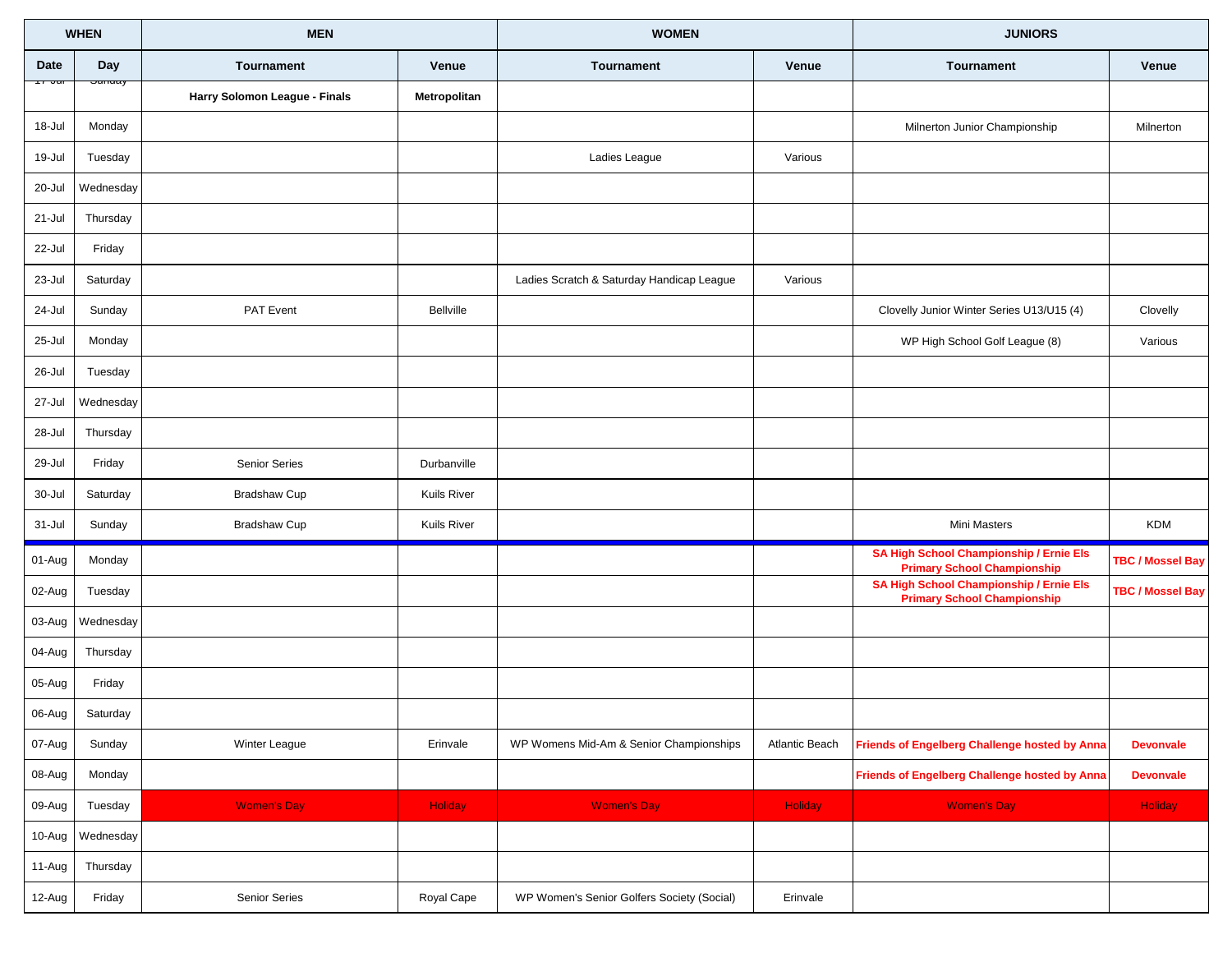| <b>WHEN</b>      |                   | <b>MEN</b>                    |                | <b>WOMEN</b>                               |                       | <b>JUNIORS</b>                                                                |                         |
|------------------|-------------------|-------------------------------|----------------|--------------------------------------------|-----------------------|-------------------------------------------------------------------------------|-------------------------|
| Date             | <b>Day</b>        | Tournament                    | Venue          | Tournament                                 | Venue                 | <b>Tournament</b>                                                             | Venue                   |
| <del>7 Jul</del> | <del>Junuay</del> | Harry Solomon League - Finals | Metropolitan   |                                            |                       |                                                                               |                         |
| 18-Jul           | Monday            |                               |                |                                            |                       | Milnerton Junior Championship                                                 | Milnerton               |
| 19-Jul           | Tuesday           |                               |                | Ladies League                              | Various               |                                                                               |                         |
| 20-Jul           | Wednesday         |                               |                |                                            |                       |                                                                               |                         |
| 21-Jul           | Thursday          |                               |                |                                            |                       |                                                                               |                         |
| 22-Jul           | Friday            |                               |                |                                            |                       |                                                                               |                         |
| 23-Jul           | Saturday          |                               |                | Ladies Scratch & Saturday Handicap League  | Various               |                                                                               |                         |
| 24-Jul           | Sunday            | PAT Event                     | Bellville      |                                            |                       | Clovelly Junior Winter Series U13/U15 (4)                                     | Clovelly                |
| 25-Jul           | Monday            |                               |                |                                            |                       | WP High School Golf League (8)                                                | Various                 |
| 26-Jul           | Tuesday           |                               |                |                                            |                       |                                                                               |                         |
| 27-Jul           | Wednesday         |                               |                |                                            |                       |                                                                               |                         |
| 28-Jul           | Thursday          |                               |                |                                            |                       |                                                                               |                         |
| 29-Jul           | Friday            | Senior Series                 | Durbanville    |                                            |                       |                                                                               |                         |
| 30-Jul           | Saturday          | <b>Bradshaw Cup</b>           | Kuils River    |                                            |                       |                                                                               |                         |
| 31-Jul           | Sunday            | <b>Bradshaw Cup</b>           | Kuils River    |                                            |                       | Mini Masters                                                                  | <b>KDM</b>              |
| 01-Aug           | Monday            |                               |                |                                            |                       | SA High School Championship / Ernie Els<br><b>Primary School Championship</b> | <b>TBC / Mossel Bay</b> |
| 02-Aug           | Tuesday           |                               |                |                                            |                       | SA High School Championship / Ernie Els<br><b>Primary School Championship</b> | <b>TBC / Mossel Bay</b> |
| 03-Aug           | Wednesday         |                               |                |                                            |                       |                                                                               |                         |
| 04-Aug           | Thursday          |                               |                |                                            |                       |                                                                               |                         |
| 05-Aug           | Friday            |                               |                |                                            |                       |                                                                               |                         |
| 06-Aug           | Saturday          |                               |                |                                            |                       |                                                                               |                         |
| 07-Aug           | Sunday            | Winter League                 | Erinvale       | WP Womens Mid-Am & Senior Championships    | <b>Atlantic Beach</b> | <b>Friends of Engelberg Challenge hosted by Anna</b>                          | <b>Devonvale</b>        |
| 08-Aug           | Monday            |                               |                |                                            |                       | Friends of Engelberg Challenge hosted by Anna                                 | <b>Devonvale</b>        |
| 09-Aug           | Tuesday           | <b>Women's Day</b>            | <b>Holiday</b> | <b>Women's Day</b>                         | <b>Holiday</b>        | <b>Women's Day</b>                                                            | <b>Holiday</b>          |
| 10-Aug           | Wednesday         |                               |                |                                            |                       |                                                                               |                         |
| 11-Aug           | Thursday          |                               |                |                                            |                       |                                                                               |                         |
| 12-Aug           | Friday            | <b>Senior Series</b>          | Royal Cape     | WP Women's Senior Golfers Society (Social) | Erinvale              |                                                                               |                         |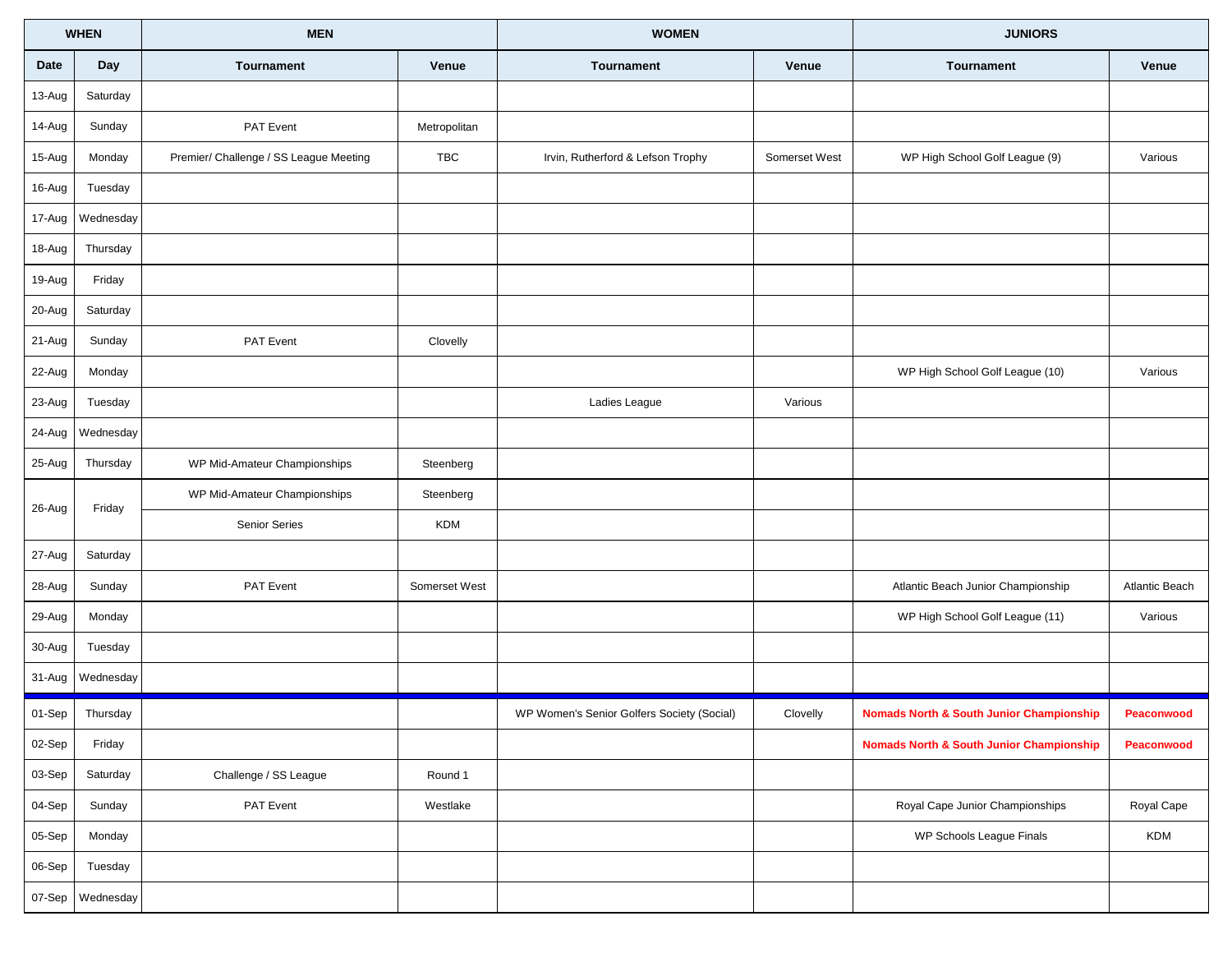|        | <b>WHEN</b> | <b>MEN</b>                             |               | <b>WOMEN</b>                               |               | <b>JUNIORS</b>                                      |                |
|--------|-------------|----------------------------------------|---------------|--------------------------------------------|---------------|-----------------------------------------------------|----------------|
| Date   | Day         | <b>Tournament</b>                      | Venue         | Tournament                                 | Venue         | Tournament                                          | Venue          |
| 13-Aug | Saturday    |                                        |               |                                            |               |                                                     |                |
| 14-Aug | Sunday      | PAT Event                              | Metropolitan  |                                            |               |                                                     |                |
| 15-Aug | Monday      | Premier/ Challenge / SS League Meeting | TBC           | Irvin, Rutherford & Lefson Trophy          | Somerset West | WP High School Golf League (9)                      | Various        |
| 16-Aug | Tuesday     |                                        |               |                                            |               |                                                     |                |
| 17-Aug | Wednesday   |                                        |               |                                            |               |                                                     |                |
| 18-Aug | Thursday    |                                        |               |                                            |               |                                                     |                |
| 19-Aug | Friday      |                                        |               |                                            |               |                                                     |                |
| 20-Aug | Saturday    |                                        |               |                                            |               |                                                     |                |
| 21-Aug | Sunday      | PAT Event                              | Clovelly      |                                            |               |                                                     |                |
| 22-Aug | Monday      |                                        |               |                                            |               | WP High School Golf League (10)                     | Various        |
| 23-Aug | Tuesday     |                                        |               | Ladies League                              | Various       |                                                     |                |
| 24-Aug | Wednesday   |                                        |               |                                            |               |                                                     |                |
| 25-Aug | Thursday    | WP Mid-Amateur Championships           | Steenberg     |                                            |               |                                                     |                |
|        |             | WP Mid-Amateur Championships           | Steenberg     |                                            |               |                                                     |                |
| 26-Aug | Friday      | Senior Series                          | <b>KDM</b>    |                                            |               |                                                     |                |
| 27-Aug | Saturday    |                                        |               |                                            |               |                                                     |                |
| 28-Aug | Sunday      | PAT Event                              | Somerset West |                                            |               | Atlantic Beach Junior Championship                  | Atlantic Beach |
| 29-Aug | Monday      |                                        |               |                                            |               | WP High School Golf League (11)                     | Various        |
| 30-Aug | Tuesday     |                                        |               |                                            |               |                                                     |                |
| 31-Aug | Wednesday   |                                        |               |                                            |               |                                                     |                |
| 01-Sep | Thursday    |                                        |               | WP Women's Senior Golfers Society (Social) | Clovelly      | <b>Nomads North &amp; South Junior Championship</b> | Peaconwood     |
| 02-Sep | Friday      |                                        |               |                                            |               | <b>Nomads North &amp; South Junior Championship</b> | Peaconwood     |
| 03-Sep | Saturday    | Challenge / SS League                  | Round 1       |                                            |               |                                                     |                |
| 04-Sep | Sunday      | PAT Event                              | Westlake      |                                            |               | Royal Cape Junior Championships                     | Royal Cape     |
| 05-Sep | Monday      |                                        |               |                                            |               | WP Schools League Finals                            | <b>KDM</b>     |
| 06-Sep | Tuesday     |                                        |               |                                            |               |                                                     |                |
| 07-Sep | Wednesday   |                                        |               |                                            |               |                                                     |                |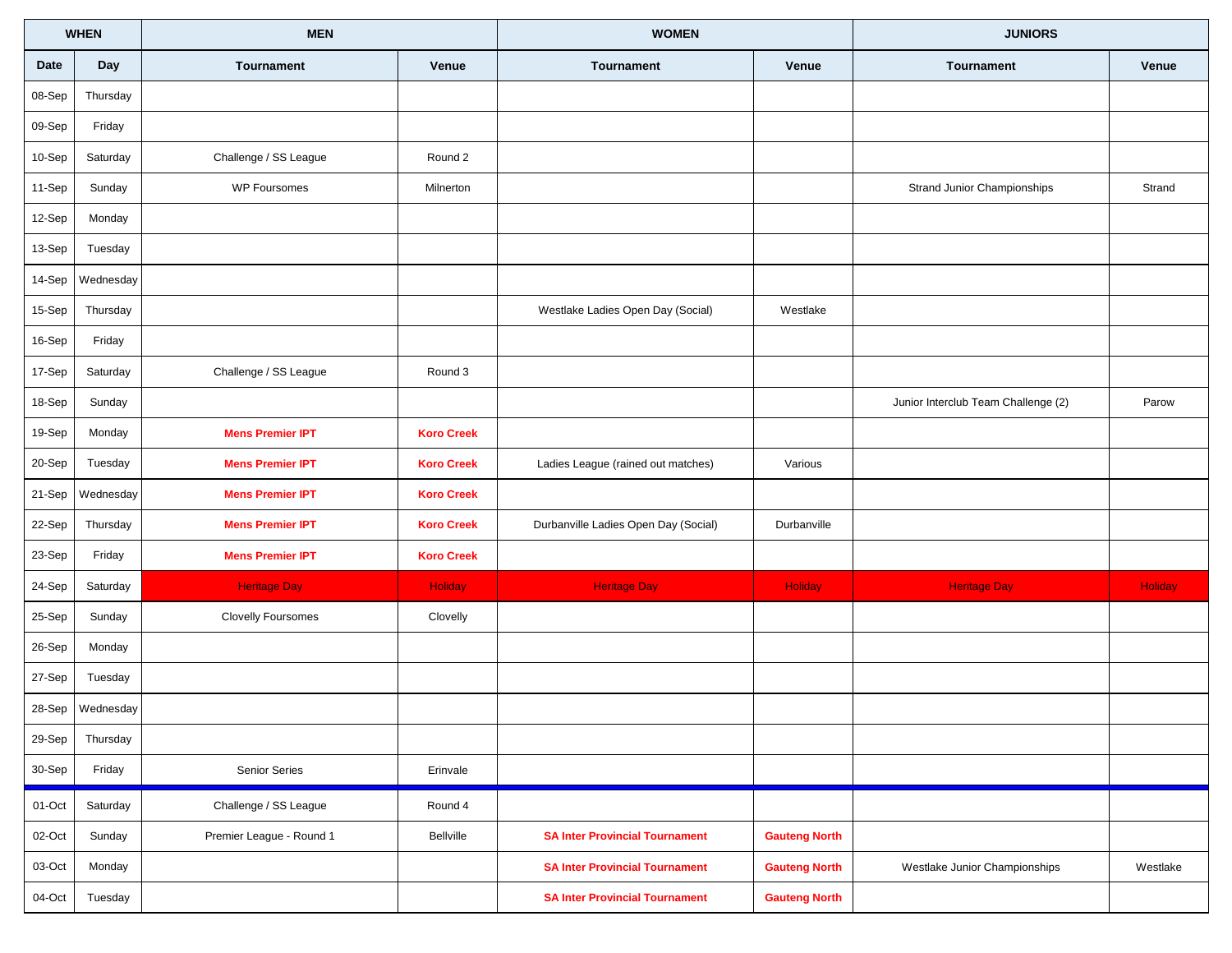|          | <b>WHEN</b> | <b>MEN</b>                |                   | <b>WOMEN</b>                          |                      | <b>JUNIORS</b>                      |          |
|----------|-------------|---------------------------|-------------------|---------------------------------------|----------------------|-------------------------------------|----------|
| Date     | Day         | <b>Tournament</b>         | Venue             | Tournament                            | Venue                | <b>Tournament</b>                   | Venue    |
| 08-Sep   | Thursday    |                           |                   |                                       |                      |                                     |          |
| 09-Sep   | Friday      |                           |                   |                                       |                      |                                     |          |
| 10-Sep   | Saturday    | Challenge / SS League     | Round 2           |                                       |                      |                                     |          |
| 11-Sep   | Sunday      | <b>WP Foursomes</b>       | Milnerton         |                                       |                      | Strand Junior Championships         | Strand   |
| 12-Sep   | Monday      |                           |                   |                                       |                      |                                     |          |
| 13-Sep   | Tuesday     |                           |                   |                                       |                      |                                     |          |
| 14-Sep   | Wednesday   |                           |                   |                                       |                      |                                     |          |
| 15-Sep   | Thursday    |                           |                   | Westlake Ladies Open Day (Social)     | Westlake             |                                     |          |
| 16-Sep   | Friday      |                           |                   |                                       |                      |                                     |          |
| 17-Sep   | Saturday    | Challenge / SS League     | Round 3           |                                       |                      |                                     |          |
| 18-Sep   | Sunday      |                           |                   |                                       |                      | Junior Interclub Team Challenge (2) | Parow    |
| 19-Sep   | Monday      | <b>Mens Premier IPT</b>   | <b>Koro Creek</b> |                                       |                      |                                     |          |
| 20-Sep   | Tuesday     | <b>Mens Premier IPT</b>   | <b>Koro Creek</b> | Ladies League (rained out matches)    | Various              |                                     |          |
| 21-Sep   | Wednesday   | <b>Mens Premier IPT</b>   | <b>Koro Creek</b> |                                       |                      |                                     |          |
| 22-Sep   | Thursday    | <b>Mens Premier IPT</b>   | <b>Koro Creek</b> | Durbanville Ladies Open Day (Social)  | Durbanville          |                                     |          |
| 23-Sep   | Friday      | <b>Mens Premier IPT</b>   | <b>Koro Creek</b> |                                       |                      |                                     |          |
| 24-Sep   | Saturday    | <b>Heritage Day</b>       | <b>Holiday</b>    | <b>Heritage Day</b>                   | Holiday              | <b>Heritage Day</b>                 | Holiday  |
| 25-Sep   | Sunday      | <b>Clovelly Foursomes</b> | Clovelly          |                                       |                      |                                     |          |
| 26-Sep   | Monday      |                           |                   |                                       |                      |                                     |          |
| 27-Sep   | Tuesday     |                           |                   |                                       |                      |                                     |          |
| 28-Sep   | Wednesday   |                           |                   |                                       |                      |                                     |          |
| 29-Sep   | Thursday    |                           |                   |                                       |                      |                                     |          |
| $30-Sep$ | Friday      | Senior Series             | Erinvale          |                                       |                      |                                     |          |
| 01-Oct   | Saturday    | Challenge / SS League     | Round 4           |                                       |                      |                                     |          |
| 02-Oct   | Sunday      | Premier League - Round 1  | Bellville         | <b>SA Inter Provincial Tournament</b> | <b>Gauteng North</b> |                                     |          |
| 03-Oct   | Monday      |                           |                   | <b>SA Inter Provincial Tournament</b> | <b>Gauteng North</b> | Westlake Junior Championships       | Westlake |
| 04-Oct   | Tuesday     |                           |                   | <b>SA Inter Provincial Tournament</b> | <b>Gauteng North</b> |                                     |          |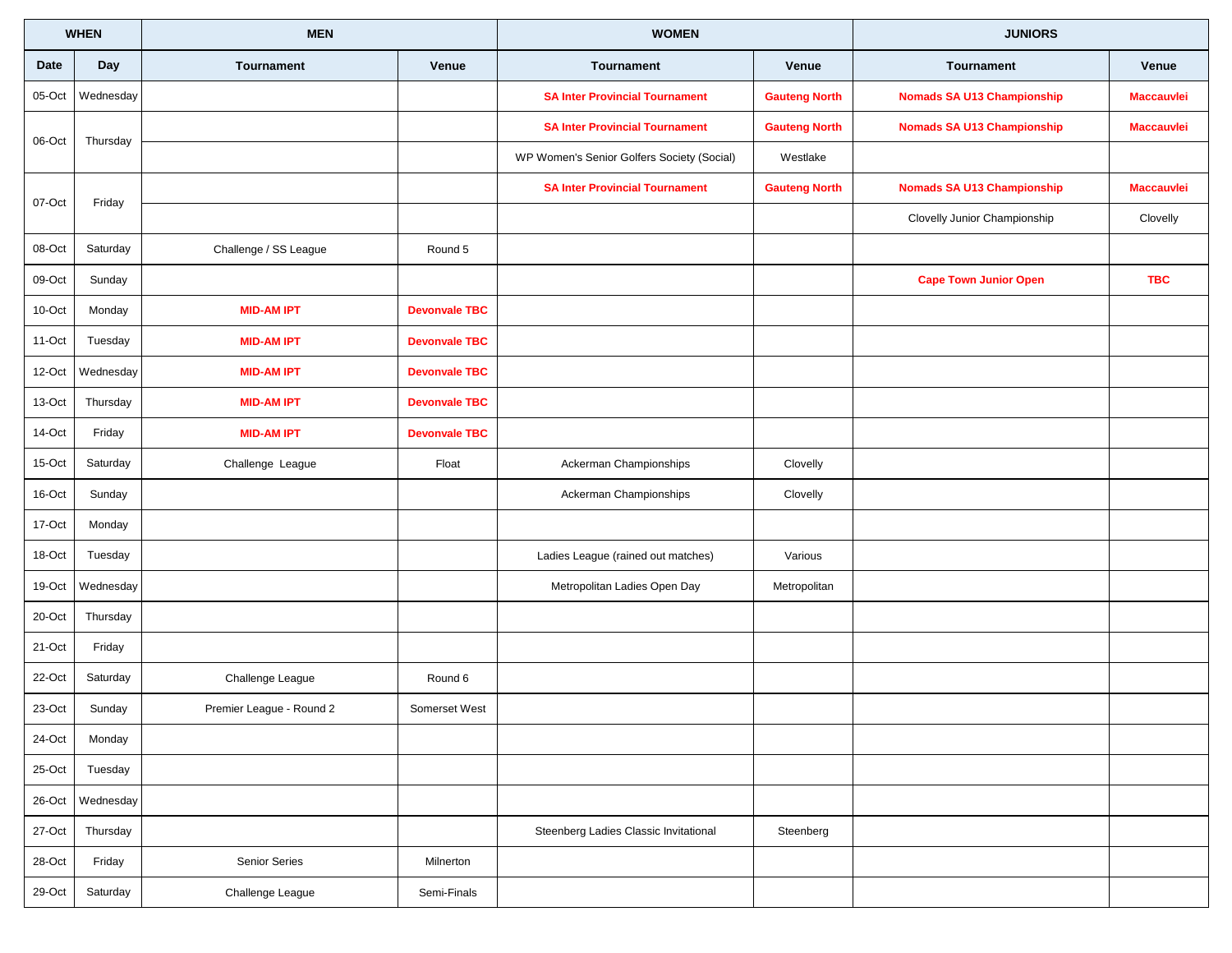|             | <b>WHEN</b> | <b>MEN</b>               |                      | <b>WOMEN</b>                               | <b>JUNIORS</b>       |                                   |                   |
|-------------|-------------|--------------------------|----------------------|--------------------------------------------|----------------------|-----------------------------------|-------------------|
| <b>Date</b> | Day         | Tournament               | Venue                | Tournament                                 | Venue                | Tournament                        | Venue             |
| 05-Oct      | Wednesday   |                          |                      | <b>SA Inter Provincial Tournament</b>      | <b>Gauteng North</b> | <b>Nomads SA U13 Championship</b> | <b>Maccauvlei</b> |
| 06-Oct      | Thursday    |                          |                      | <b>SA Inter Provincial Tournament</b>      | <b>Gauteng North</b> | <b>Nomads SA U13 Championship</b> | <b>Maccauvlei</b> |
|             |             |                          |                      | WP Women's Senior Golfers Society (Social) | Westlake             |                                   |                   |
| 07-Oct      | Friday      |                          |                      | <b>SA Inter Provincial Tournament</b>      | <b>Gauteng North</b> | <b>Nomads SA U13 Championship</b> | <b>Maccauvlei</b> |
|             |             |                          |                      |                                            |                      | Clovelly Junior Championship      | Clovelly          |
| 08-Oct      | Saturday    | Challenge / SS League    | Round 5              |                                            |                      |                                   |                   |
| 09-Oct      | Sunday      |                          |                      |                                            |                      | <b>Cape Town Junior Open</b>      | <b>TBC</b>        |
| 10-Oct      | Monday      | <b>MID-AM IPT</b>        | <b>Devonvale TBC</b> |                                            |                      |                                   |                   |
| 11-Oct      | Tuesday     | <b>MID-AM IPT</b>        | <b>Devonvale TBC</b> |                                            |                      |                                   |                   |
| 12-Oct      | Wednesday   | <b>MID-AM IPT</b>        | <b>Devonvale TBC</b> |                                            |                      |                                   |                   |
| 13-Oct      | Thursday    | <b>MID-AM IPT</b>        | <b>Devonvale TBC</b> |                                            |                      |                                   |                   |
| 14-Oct      | Friday      | <b>MID-AM IPT</b>        | <b>Devonvale TBC</b> |                                            |                      |                                   |                   |
| 15-Oct      | Saturday    | Challenge League         | Float                | Ackerman Championships                     | Clovelly             |                                   |                   |
| 16-Oct      | Sunday      |                          |                      | Ackerman Championships                     | Clovelly             |                                   |                   |
| 17-Oct      | Monday      |                          |                      |                                            |                      |                                   |                   |
| 18-Oct      | Tuesday     |                          |                      | Ladies League (rained out matches)         | Various              |                                   |                   |
| 19-Oct      | Wednesday   |                          |                      | Metropolitan Ladies Open Day               | Metropolitan         |                                   |                   |
| 20-Oct      | Thursday    |                          |                      |                                            |                      |                                   |                   |
| 21-Oct      | Friday      |                          |                      |                                            |                      |                                   |                   |
| 22-Oct      | Saturday    | Challenge League         | Round 6              |                                            |                      |                                   |                   |
| 23-Oct      | Sunday      | Premier League - Round 2 | Somerset West        |                                            |                      |                                   |                   |
| 24-Oct      | Monday      |                          |                      |                                            |                      |                                   |                   |
| 25-Oct      | Tuesday     |                          |                      |                                            |                      |                                   |                   |
| 26-Oct      | Wednesday   |                          |                      |                                            |                      |                                   |                   |
| 27-Oct      | Thursday    |                          |                      | Steenberg Ladies Classic Invitational      | Steenberg            |                                   |                   |
| 28-Oct      | Friday      | Senior Series            | Milnerton            |                                            |                      |                                   |                   |
| 29-Oct      | Saturday    | Challenge League         | Semi-Finals          |                                            |                      |                                   |                   |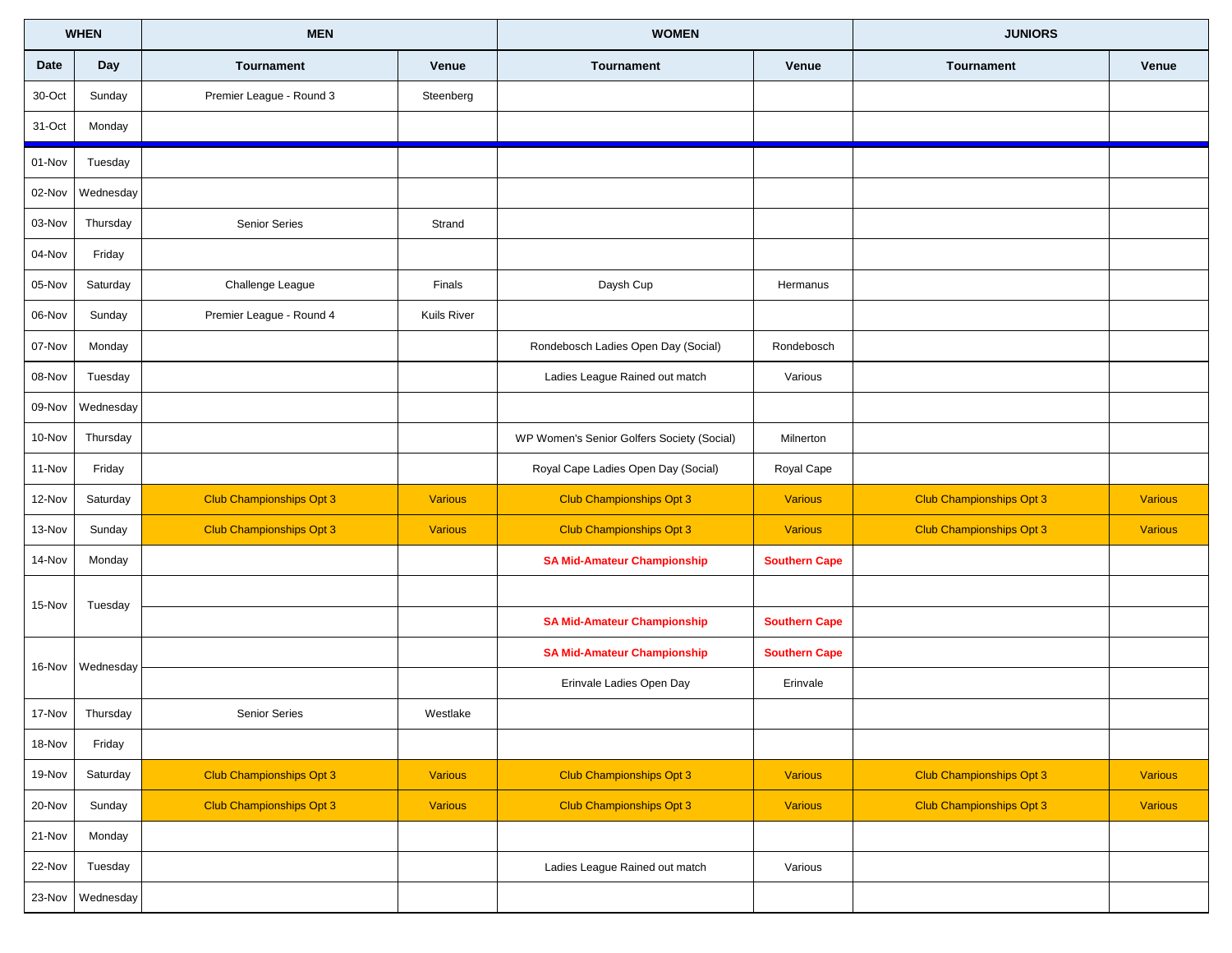| <b>WHEN</b> |           | <b>MEN</b>                      |                    | <b>WOMEN</b>                               |                      | <b>JUNIORS</b>                  |                |
|-------------|-----------|---------------------------------|--------------------|--------------------------------------------|----------------------|---------------------------------|----------------|
| Date        | Day       | <b>Tournament</b>               | Venue              | Tournament                                 | Venue                | <b>Tournament</b>               | Venue          |
| 30-Oct      | Sunday    | Premier League - Round 3        | Steenberg          |                                            |                      |                                 |                |
| 31-Oct      | Monday    |                                 |                    |                                            |                      |                                 |                |
| 01-Nov      | Tuesday   |                                 |                    |                                            |                      |                                 |                |
| 02-Nov      | Wednesday |                                 |                    |                                            |                      |                                 |                |
| 03-Nov      | Thursday  | Senior Series                   | Strand             |                                            |                      |                                 |                |
| 04-Nov      | Friday    |                                 |                    |                                            |                      |                                 |                |
| 05-Nov      | Saturday  | Challenge League                | Finals             | Daysh Cup                                  | Hermanus             |                                 |                |
| 06-Nov      | Sunday    | Premier League - Round 4        | <b>Kuils River</b> |                                            |                      |                                 |                |
| 07-Nov      | Monday    |                                 |                    | Rondebosch Ladies Open Day (Social)        | Rondebosch           |                                 |                |
| 08-Nov      | Tuesday   |                                 |                    | Ladies League Rained out match             | Various              |                                 |                |
| 09-Nov      | Wednesday |                                 |                    |                                            |                      |                                 |                |
| 10-Nov      | Thursday  |                                 |                    | WP Women's Senior Golfers Society (Social) | Milnerton            |                                 |                |
| 11-Nov      | Friday    |                                 |                    | Royal Cape Ladies Open Day (Social)        | Royal Cape           |                                 |                |
| 12-Nov      | Saturday  | <b>Club Championships Opt 3</b> | <b>Various</b>     | <b>Club Championships Opt 3</b>            | <b>Various</b>       | <b>Club Championships Opt 3</b> | <b>Various</b> |
| 13-Nov      | Sunday    | <b>Club Championships Opt 3</b> | <b>Various</b>     | <b>Club Championships Opt 3</b>            | <b>Various</b>       | <b>Club Championships Opt 3</b> | <b>Various</b> |
| 14-Nov      | Monday    |                                 |                    | <b>SA Mid-Amateur Championship</b>         | <b>Southern Cape</b> |                                 |                |
| 15-Nov      | Tuesday   |                                 |                    |                                            |                      |                                 |                |
|             |           |                                 |                    | <b>SA Mid-Amateur Championship</b>         | <b>Southern Cape</b> |                                 |                |
| 16-Nov      | Wednesday |                                 |                    | <b>SA Mid-Amateur Championship</b>         | <b>Southern Cape</b> |                                 |                |
|             |           |                                 |                    | Erinvale Ladies Open Day                   | Erinvale             |                                 |                |
| 17-Nov      | Thursday  | <b>Senior Series</b>            | Westlake           |                                            |                      |                                 |                |
| 18-Nov      | Friday    |                                 |                    |                                            |                      |                                 |                |
| 19-Nov      | Saturday  | <b>Club Championships Opt 3</b> | <b>Various</b>     | Club Championships Opt 3                   | Various              | Club Championships Opt 3        | <b>Various</b> |
| $20 - Nov$  | Sunday    | <b>Club Championships Opt 3</b> | <b>Various</b>     | <b>Club Championships Opt 3</b>            | Various              | <b>Club Championships Opt 3</b> | <b>Various</b> |
| 21-Nov      | Monday    |                                 |                    |                                            |                      |                                 |                |
| 22-Nov      | Tuesday   |                                 |                    | Ladies League Rained out match             | Various              |                                 |                |
| 23-Nov      | Wednesday |                                 |                    |                                            |                      |                                 |                |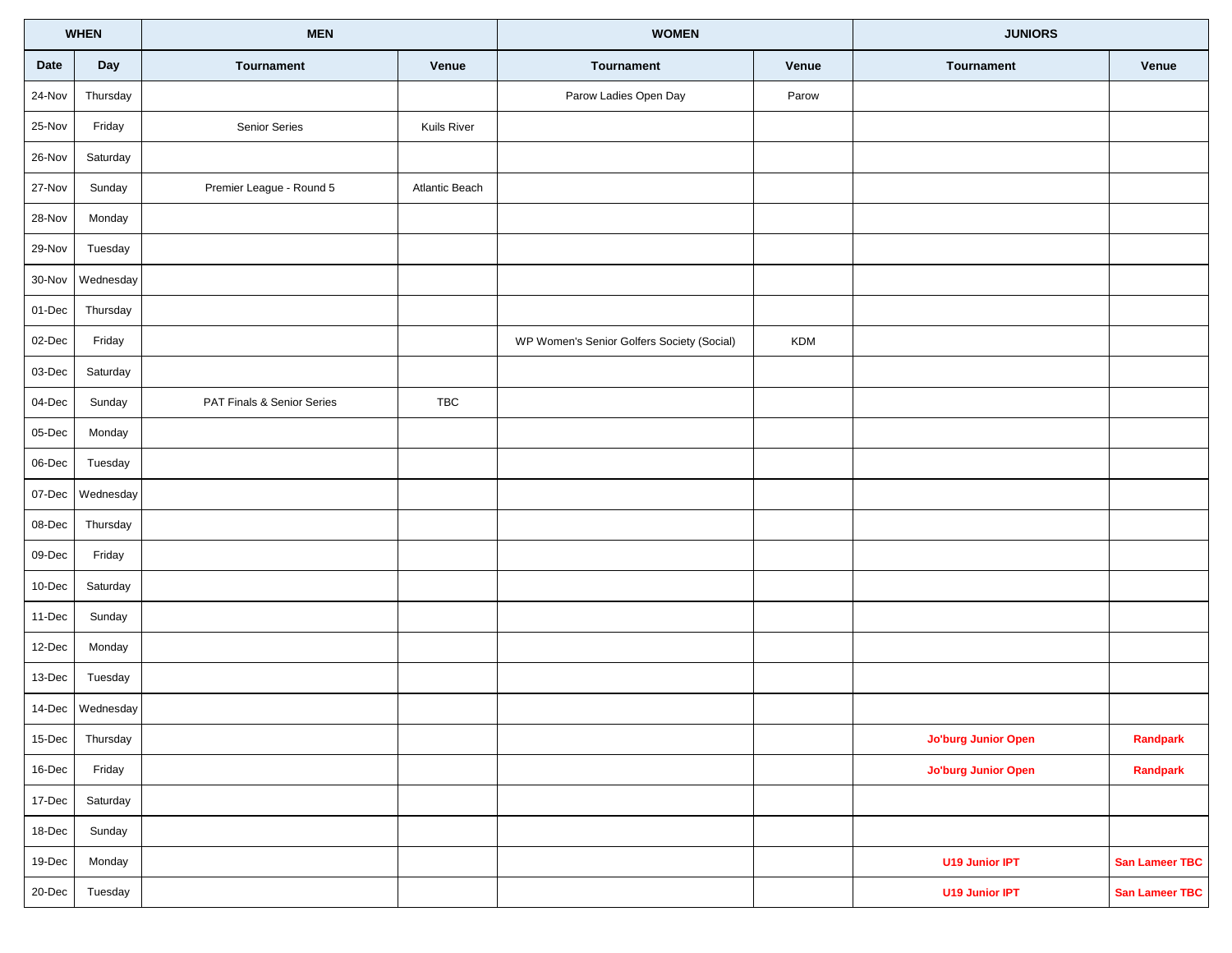| <b>WHEN</b>    |                  | <b>MEN</b>                 |                | <b>WOMEN</b>                               |            | <b>JUNIORS</b>             |                |
|----------------|------------------|----------------------------|----------------|--------------------------------------------|------------|----------------------------|----------------|
| Date           | Day              | Tournament                 | Venue          | Tournament                                 | Venue      | Tournament                 | Venue          |
| 24-Nov         | Thursday         |                            |                | Parow Ladies Open Day                      | Parow      |                            |                |
| 25-Nov         | Friday           | Senior Series              | Kuils River    |                                            |            |                            |                |
| $26$ -Nov      | Saturday         |                            |                |                                            |            |                            |                |
| 27-Nov         | Sunday           | Premier League - Round 5   | Atlantic Beach |                                            |            |                            |                |
| 28-Nov         | Monday           |                            |                |                                            |            |                            |                |
| $29-Nov$       | Tuesday          |                            |                |                                            |            |                            |                |
| $30 - Nov$     | Wednesday        |                            |                |                                            |            |                            |                |
| $01$ -Dec      | Thursday         |                            |                |                                            |            |                            |                |
| $02$ -Dec      | Friday           |                            |                | WP Women's Senior Golfers Society (Social) | <b>KDM</b> |                            |                |
| $03$ -Dec      | Saturday         |                            |                |                                            |            |                            |                |
| $04$ -Dec      | Sunday           | PAT Finals & Senior Series | TBC            |                                            |            |                            |                |
| $05$ -Dec      | Monday           |                            |                |                                            |            |                            |                |
| $06$ -Dec      | Tuesday          |                            |                |                                            |            |                            |                |
| $07 - Dec$     | Wednesday        |                            |                |                                            |            |                            |                |
| $08$ -Dec      | Thursday         |                            |                |                                            |            |                            |                |
| $09$ -Dec      | Friday           |                            |                |                                            |            |                            |                |
| $10$ -Dec      | Saturday         |                            |                |                                            |            |                            |                |
| $11-Dec$       | Sunday           |                            |                |                                            |            |                            |                |
| $12$ -Dec      | Monday           |                            |                |                                            |            |                            |                |
| 13-Dec         | Tuesday          |                            |                |                                            |            |                            |                |
|                | 14-Dec Wednesday |                            |                |                                            |            |                            |                |
| $15$ -Dec      | Thursday         |                            |                |                                            |            | <b>Jo'burg Junior Open</b> | Randpark       |
| $16$ -Dec      | Friday           |                            |                |                                            |            | <b>Jo'burg Junior Open</b> | Randpark       |
| 17-Dec         | Saturday         |                            |                |                                            |            |                            |                |
| $18 - Dec$     | Sunday           |                            |                |                                            |            |                            |                |
| 19-Dec         | Monday           |                            |                |                                            |            | <b>U19 Junior IPT</b>      | San Lameer TBC |
| $20$ -Dec $\,$ | Tuesday          |                            |                |                                            |            | U19 Junior IPT             | San Lameer TBC |